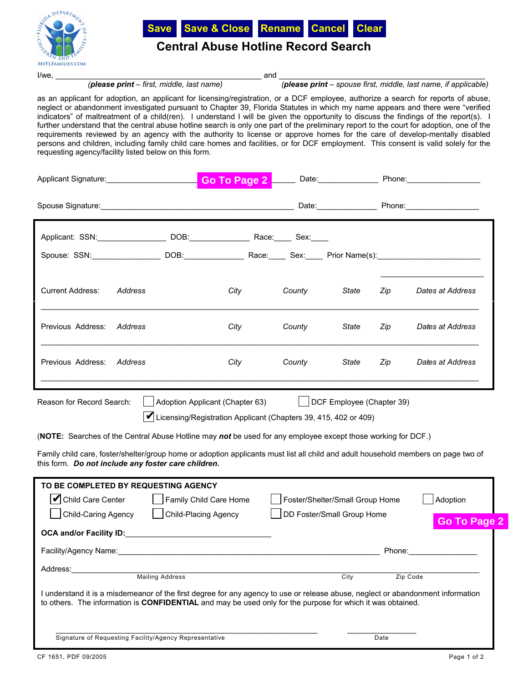



## **Central Abuse Hotline Record Search**

I/we, \_\_\_\_\_\_\_\_\_\_\_\_\_\_\_\_\_\_\_\_\_\_\_\_\_\_\_\_\_\_\_\_\_\_\_\_\_\_\_\_\_\_\_\_\_\_\_\_ and \_\_\_\_\_\_\_\_\_\_\_\_\_\_\_\_\_\_\_\_\_\_\_\_\_\_\_\_\_\_\_\_\_\_\_\_\_\_\_\_\_\_\_\_\_\_\_\_

*(please print – first, middle, last name) (please print – spouse first, middle, last name, if applicable)*

as an applicant for adoption, an applicant for licensing/registration, or a DCF employee, authorize a search for reports of abuse, neglect or abandonment investigated pursuant to Chapter 39, Florida Statutes in which my name appears and there were "verified indicators" of maltreatment of a child(ren). I understand I will be given the opportunity to discuss the findings of the report(s). I further understand that the central abuse hotline search is only one part of the preliminary report to the court for adoption, one of the requirements reviewed by an agency with the authority to license or approve homes for the care of develop-mentally disabled persons and children, including family child care homes and facilities, or for DCF employment. This consent is valid solely for the requesting agency/facility listed below on this form.

|                                                                                                                                                                                                                                                                                                                                                                                                                                                                                   | Applicant Signature: <b>Applicant Signature: Applicant Signature: Applicant Signature: Applicant Signature: Applicant Signature: Applicant Signature: Applicant Signature: Applicant Signature: Applicant Signat</b>                                                                                                 | Go To Page 2 Date: Phone: Phone: |        |                                                               |          |                                 |
|-----------------------------------------------------------------------------------------------------------------------------------------------------------------------------------------------------------------------------------------------------------------------------------------------------------------------------------------------------------------------------------------------------------------------------------------------------------------------------------|----------------------------------------------------------------------------------------------------------------------------------------------------------------------------------------------------------------------------------------------------------------------------------------------------------------------|----------------------------------|--------|---------------------------------------------------------------|----------|---------------------------------|
|                                                                                                                                                                                                                                                                                                                                                                                                                                                                                   |                                                                                                                                                                                                                                                                                                                      |                                  |        |                                                               |          |                                 |
|                                                                                                                                                                                                                                                                                                                                                                                                                                                                                   | Applicant: SSN: _________________________ DOB:__________________________________Sex:______                                                                                                                                                                                                                           |                                  |        |                                                               |          |                                 |
|                                                                                                                                                                                                                                                                                                                                                                                                                                                                                   |                                                                                                                                                                                                                                                                                                                      |                                  |        |                                                               |          |                                 |
| Current Address:                                                                                                                                                                                                                                                                                                                                                                                                                                                                  | Address                                                                                                                                                                                                                                                                                                              | City                             | County | State                                                         | Zip      | Dates at Address                |
| Previous Address:                                                                                                                                                                                                                                                                                                                                                                                                                                                                 | Address                                                                                                                                                                                                                                                                                                              | City                             | County | State                                                         | Zip      | Dates at Address                |
| Previous Address: Address                                                                                                                                                                                                                                                                                                                                                                                                                                                         |                                                                                                                                                                                                                                                                                                                      | City                             | County | State                                                         | Zip      | Dates at Address                |
| $\vert$ DCF Employee (Chapter 39)<br>Reason for Record Search:<br>Adoption Applicant (Chapter 63)<br>Licensing/Registration Applicant (Chapters 39, 415, 402 or 409)<br>(NOTE: Searches of the Central Abuse Hotline may not be used for any employee except those working for DCF.)<br>Family child care, foster/shelter/group home or adoption applicants must list all child and adult household members on page two of<br>this form. Do not include any foster care children. |                                                                                                                                                                                                                                                                                                                      |                                  |        |                                                               |          |                                 |
| <b>Child Care Center</b>                                                                                                                                                                                                                                                                                                                                                                                                                                                          | TO BE COMPLETED BY REQUESTING AGENCY<br>Child-Caring Agency   Child-Placing Agency<br>OCA and/or Facility ID: Note that the state of the state of the state of the state of the state of the state of the state of the state of the state of the state of the state of the state of the state of the state of the st | Family Child Care Home           |        | Foster/Shelter/Small Group Home<br>DD Foster/Small Group Home |          | Adoption<br><b>Go To Page 2</b> |
| Facility/Agency Name:                                                                                                                                                                                                                                                                                                                                                                                                                                                             |                                                                                                                                                                                                                                                                                                                      |                                  |        |                                                               | Phone:   |                                 |
| Address:                                                                                                                                                                                                                                                                                                                                                                                                                                                                          | <b>Mailing Address</b>                                                                                                                                                                                                                                                                                               |                                  |        | City                                                          | Zip Code |                                 |
| I understand it is a misdemeanor of the first degree for any agency to use or release abuse, neglect or abandonment information<br>to others. The information is CONFIDENTIAL and may be used only for the purpose for which it was obtained.                                                                                                                                                                                                                                     |                                                                                                                                                                                                                                                                                                                      |                                  |        |                                                               |          |                                 |
|                                                                                                                                                                                                                                                                                                                                                                                                                                                                                   | Signature of Requesting Facility/Agency Representative                                                                                                                                                                                                                                                               |                                  |        |                                                               | Date     |                                 |